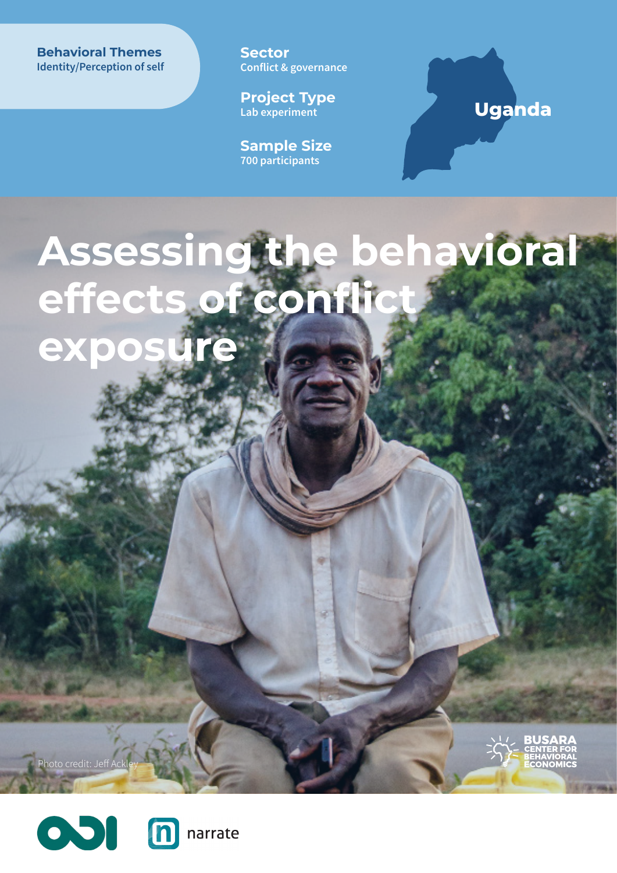**Behavioral Themes Behavioral Themes Identity/Perception of self**  **Sector Conflict & governance**

**Project Type Lab experiment**

**Sample Size 700 participants**

## **Uganda**

**Assessing the behavioral effects of conflict exposure**



Photo credit: Jeff A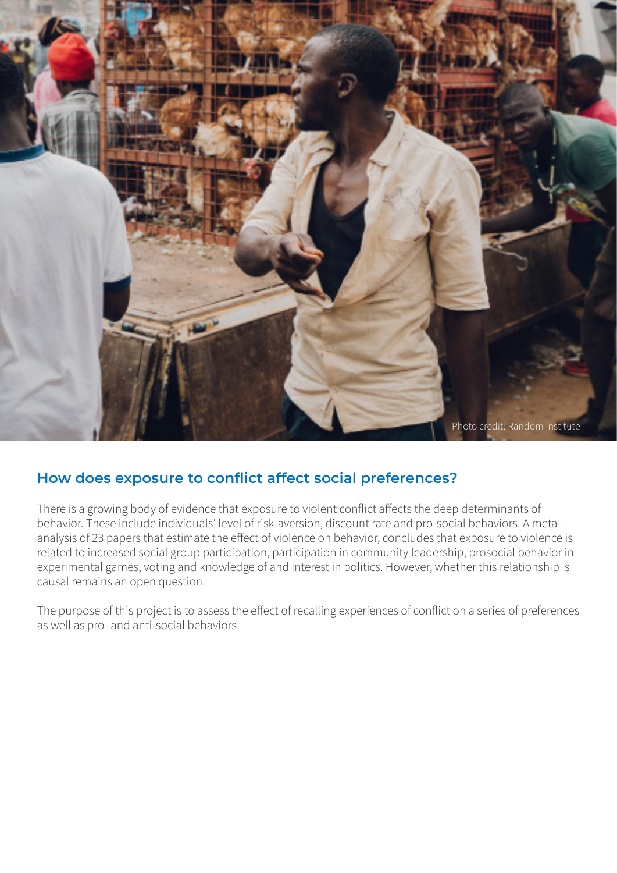

### **How does exposure to conflict affect social preferences?**

There is a growing body of evidence that exposure to violent conflict affects the deep determinants of behavior. These include individuals' level of risk-aversion, discount rate and pro-social behaviors. A metaanalysis of 23 papers that estimate the effect of violence on behavior, concludes that exposure to violence is related to increased social group participation, participation in community leadership, prosocial behavior in experimental games, voting and knowledge of and interest in politics. However, whether this relationship is causal remains an open question.

The purpose of this project is to assess the effect of recalling experiences of conflict on a series of preferences as well as pro- and anti-social behaviors.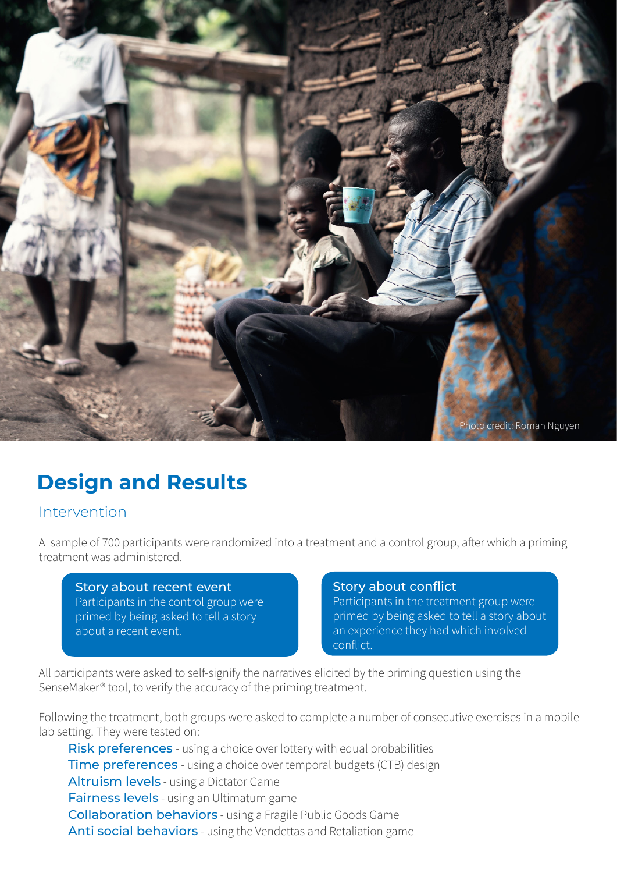

# **Design and Results**

### Intervention

A sample of 700 participants were randomized into a treatment and a control group, after which a priming treatment was administered.

#### Story about recent event

Participants in the control group were primed by being asked to tell a story about a recent event.

#### Story about conflict

Participants in the treatment group were primed by being asked to tell a story about an experience they had which involved conflict.

All participants were asked to self-signify the narratives elicited by the priming question using the SenseMaker® tool, to verify the accuracy of the priming treatment.

Following the treatment, both groups were asked to complete a number of consecutive exercises in a mobile lab setting. They were tested on:

Risk preferences - using a choice over lottery with equal probabilities **Time preferences** - using a choice over temporal budgets (CTB) design Altruism levels - using a Dictator Game Fairness levels - using an Ultimatum game Collaboration behaviors - using a Fragile Public Goods Game Anti social behaviors - using the Vendettas and Retaliation game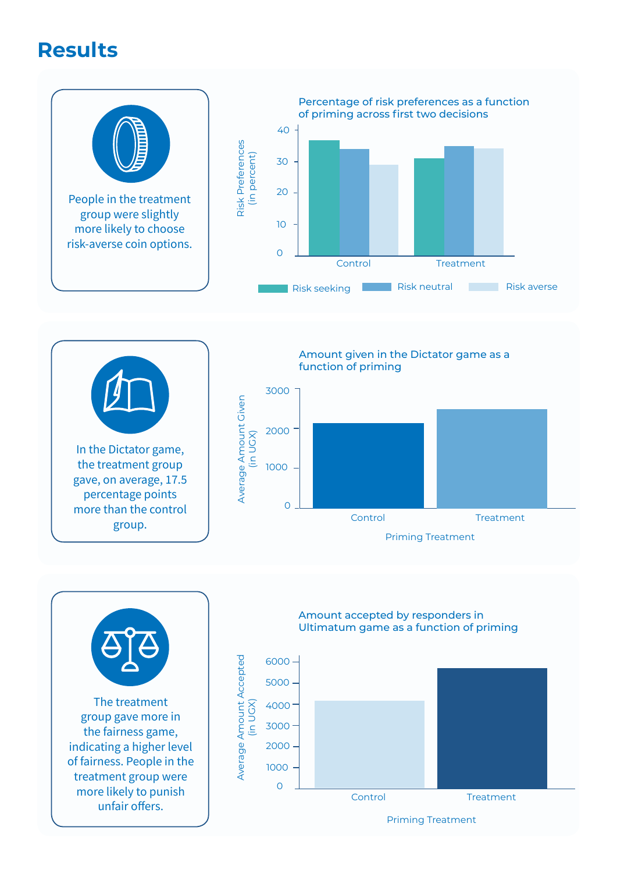# **Results**





Amount given in the Dictator game as a function of priming







Amount accepted by responders in